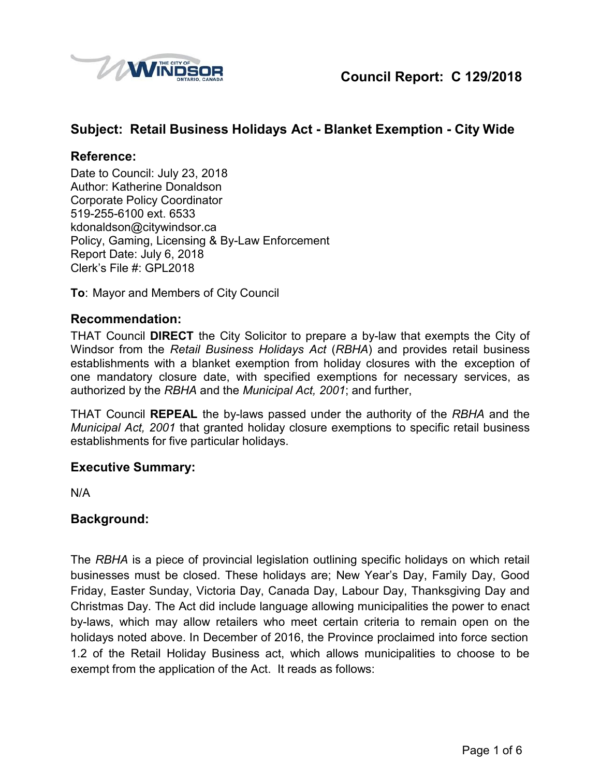

## **Subject: Retail Business Holidays Act - Blanket Exemption - City Wide**

#### **Reference:**

Date to Council: July 23, 2018 Author: Katherine Donaldson Corporate Policy Coordinator 519-255-6100 ext. 6533 [kdonaldson@citywindsor.ca](mailto:kdonaldson@citywindsor.ca) Policy, Gaming, Licensing & By-Law Enforcement Report Date: July 6, 2018 Clerk's File #: GPL2018

**To**: Mayor and Members of City Council

### **Recommendation:**

THAT Council **DIRECT** the City Solicitor to prepare a by-law that exempts the City of Windsor from the *Retail Business Holidays Act* (*RBHA*) and provides retail business establishments with a blanket exemption from holiday closures with the exception of one mandatory closure date, with specified exemptions for necessary services, as authorized by the *RBHA* and the *Municipal Act, 2001*; and further,

THAT Council **REPEAL** the by-laws passed under the authority of the *RBHA* and the *Municipal Act, 2001* that granted holiday closure exemptions to specific retail business establishments for five particular holidays.

#### **Executive Summary:**

N/A

### **Background:**

The *RBHA* is a piece of provincial legislation outlining specific holidays on which retail businesses must be closed. These holidays are; New Year's Day, Family Day, Good Friday, Easter Sunday, Victoria Day, Canada Day, Labour Day, Thanksgiving Day and Christmas Day. The Act did include language allowing municipalities the power to enact by-laws, which may allow retailers who meet certain criteria to remain open on the holidays noted above. In December of 2016, the Province proclaimed into force section 1.2 of the Retail Holiday Business act, which allows municipalities to choose to be exempt from the application of the Act. It reads as follows: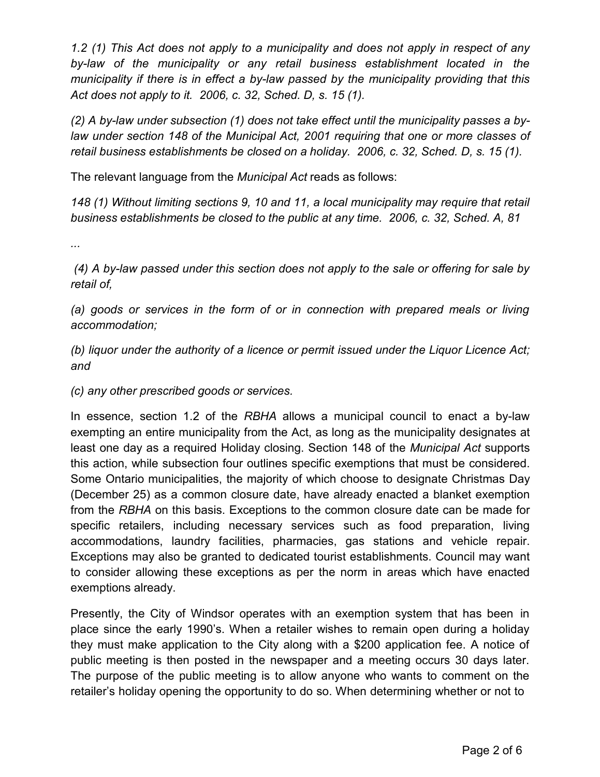*1.2 (1) This Act does not apply to a municipality and does not apply in respect of any by-law of the municipality or any retail business establishment located in the municipality if there is in effect a by-law passed by the municipality providing that this Act does not apply to it. 2006, c. 32, Sched. D, s. 15 (1).*

*(2) A by-law under subsection (1) does not take effect until the municipality passes a bylaw under section 148 of the Municipal Act, 2001 requiring that one or more classes of retail business establishments be closed on a holiday. 2006, c. 32, Sched. D, s. 15 (1).*

The relevant language from the *Municipal Act* reads as follows:

*148 (1) Without limiting sections 9, 10 and 11, a local municipality may require that retail business establishments be closed to the public at any time. 2006, c. 32, Sched. A, 81*

*...*

*(4) A by-law passed under this section does not apply to the sale or offering for sale by retail of,*

*(a) goods or services in the form of or in connection with prepared meals or living accommodation;*

*(b) liquor under the authority of a licence or permit issued under the Liquor Licence Act; and*

*(c) any other prescribed goods or services.*

In essence, section 1.2 of the *RBHA* allows a municipal council to enact a by-law exempting an entire municipality from the Act, as long as the municipality designates at least one day as a required Holiday closing. Section 148 of the *Municipal Act* supports this action, while subsection four outlines specific exemptions that must be considered. Some Ontario municipalities, the majority of which choose to designate Christmas Day (December 25) as a common closure date, have already enacted a blanket exemption from the *RBHA* on this basis. Exceptions to the common closure date can be made for specific retailers, including necessary services such as food preparation, living accommodations, laundry facilities, pharmacies, gas stations and vehicle repair. Exceptions may also be granted to dedicated tourist establishments. Council may want to consider allowing these exceptions as per the norm in areas which have enacted exemptions already.

Presently, the City of Windsor operates with an exemption system that has been in place since the early 1990's. When a retailer wishes to remain open during a holiday they must make application to the City along with a \$200 application fee. A notice of public meeting is then posted in the newspaper and a meeting occurs 30 days later. The purpose of the public meeting is to allow anyone who wants to comment on the retailer's holiday opening the opportunity to do so. When determining whether or not to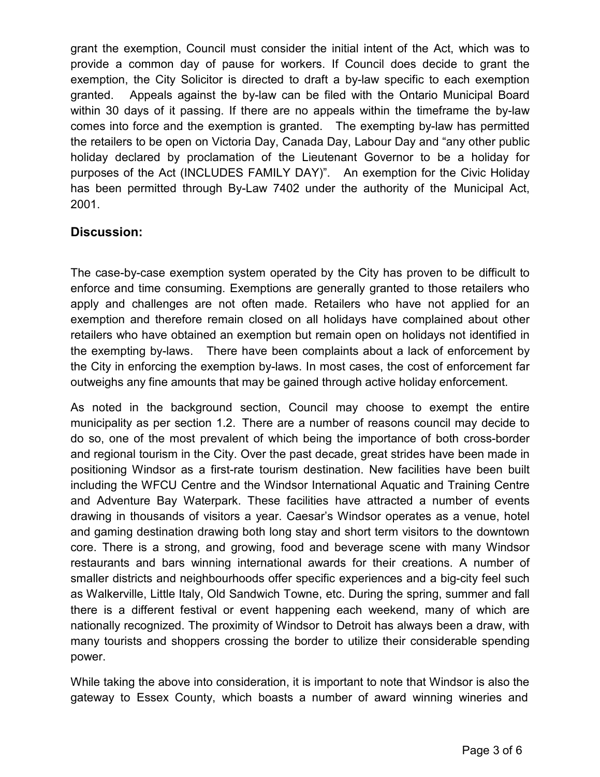grant the exemption, Council must consider the initial intent of the Act, which was to provide a common day of pause for workers. If Council does decide to grant the exemption, the City Solicitor is directed to draft a by-law specific to each exemption granted. Appeals against the by-law can be filed with the Ontario Municipal Board within 30 days of it passing. If there are no appeals within the timeframe the by-law comes into force and the exemption is granted. The exempting by-law has permitted the retailers to be open on Victoria Day, Canada Day, Labour Day and "any other public holiday declared by proclamation of the Lieutenant Governor to be a holiday for purposes of the Act (INCLUDES FAMILY DAY)". An exemption for the Civic Holiday has been permitted through By-Law 7402 under the authority of the Municipal Act, 2001.

## **Discussion:**

The case-by-case exemption system operated by the City has proven to be difficult to enforce and time consuming. Exemptions are generally granted to those retailers who apply and challenges are not often made. Retailers who have not applied for an exemption and therefore remain closed on all holidays have complained about other retailers who have obtained an exemption but remain open on holidays not identified in the exempting by-laws. There have been complaints about a lack of enforcement by the City in enforcing the exemption by-laws. In most cases, the cost of enforcement far outweighs any fine amounts that may be gained through active holiday enforcement.

As noted in the background section, Council may choose to exempt the entire municipality as per section 1.2. There are a number of reasons council may decide to do so, one of the most prevalent of which being the importance of both cross-border and regional tourism in the City. Over the past decade, great strides have been made in positioning Windsor as a first-rate tourism destination. New facilities have been built including the WFCU Centre and the Windsor International Aquatic and Training Centre and Adventure Bay Waterpark. These facilities have attracted a number of events drawing in thousands of visitors a year. Caesar's Windsor operates as a venue, hotel and gaming destination drawing both long stay and short term visitors to the downtown core. There is a strong, and growing, food and beverage scene with many Windsor restaurants and bars winning international awards for their creations. A number of smaller districts and neighbourhoods offer specific experiences and a big-city feel such as Walkerville, Little Italy, Old Sandwich Towne, etc. During the spring, summer and fall there is a different festival or event happening each weekend, many of which are nationally recognized. The proximity of Windsor to Detroit has always been a draw, with many tourists and shoppers crossing the border to utilize their considerable spending power.

While taking the above into consideration, it is important to note that Windsor is also the gateway to Essex County, which boasts a number of award winning wineries and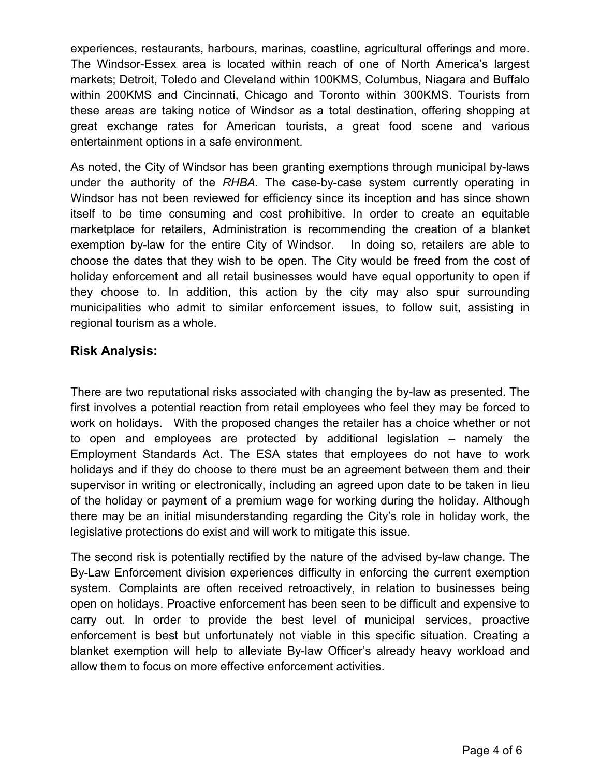experiences, restaurants, harbours, marinas, coastline, agricultural offerings and more. The Windsor-Essex area is located within reach of one of North America's largest markets; Detroit, Toledo and Cleveland within 100KMS, Columbus, Niagara and Buffalo within 200KMS and Cincinnati, Chicago and Toronto within 300KMS. Tourists from these areas are taking notice of Windsor as a total destination, offering shopping at great exchange rates for American tourists, a great food scene and various entertainment options in a safe environment.

As noted, the City of Windsor has been granting exemptions through municipal by-laws under the authority of the *RHBA*. The case-by-case system currently operating in Windsor has not been reviewed for efficiency since its inception and has since shown itself to be time consuming and cost prohibitive. In order to create an equitable marketplace for retailers, Administration is recommending the creation of a blanket exemption by-law for the entire City of Windsor. In doing so, retailers are able to choose the dates that they wish to be open. The City would be freed from the cost of holiday enforcement and all retail businesses would have equal opportunity to open if they choose to. In addition, this action by the city may also spur surrounding municipalities who admit to similar enforcement issues, to follow suit, assisting in regional tourism as a whole.

## **Risk Analysis:**

There are two reputational risks associated with changing the by-law as presented. The first involves a potential reaction from retail employees who feel they may be forced to work on holidays. With the proposed changes the retailer has a choice whether or not to open and employees are protected by additional legislation – namely the Employment Standards Act. The ESA states that employees do not have to work holidays and if they do choose to there must be an agreement between them and their supervisor in writing or electronically, including an agreed upon date to be taken in lieu of the holiday or payment of a premium wage for working during the holiday. Although there may be an initial misunderstanding regarding the City's role in holiday work, the legislative protections do exist and will work to mitigate this issue.

The second risk is potentially rectified by the nature of the advised by-law change. The By-Law Enforcement division experiences difficulty in enforcing the current exemption system. Complaints are often received retroactively, in relation to businesses being open on holidays. Proactive enforcement has been seen to be difficult and expensive to carry out. In order to provide the best level of municipal services, proactive enforcement is best but unfortunately not viable in this specific situation. Creating a blanket exemption will help to alleviate By-law Officer's already heavy workload and allow them to focus on more effective enforcement activities.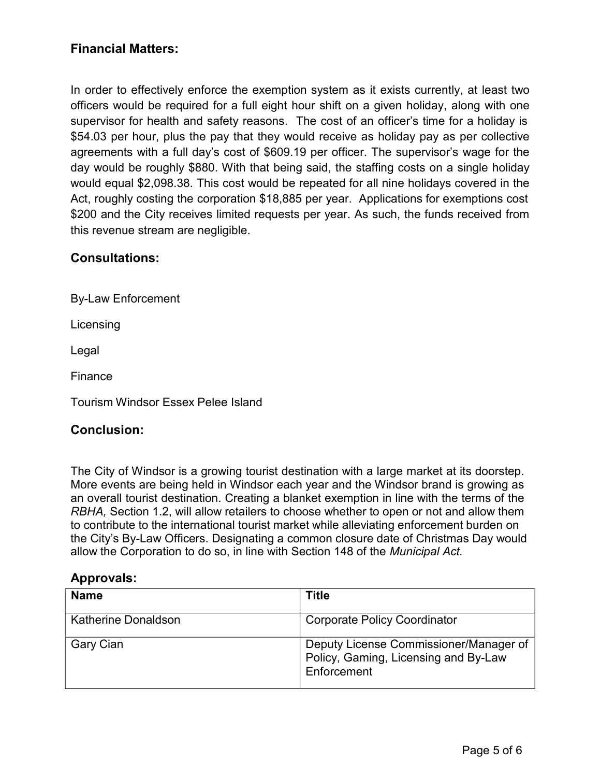## **Financial Matters:**

In order to effectively enforce the exemption system as it exists currently, at least two officers would be required for a full eight hour shift on a given holiday, along with one supervisor for health and safety reasons. The cost of an officer's time for a holiday is \$54.03 per hour, plus the pay that they would receive as holiday pay as per collective agreements with a full day's cost of \$609.19 per officer. The supervisor's wage for the day would be roughly \$880. With that being said, the staffing costs on a single holiday would equal \$2,098.38. This cost would be repeated for all nine holidays covered in the Act, roughly costing the corporation \$18,885 per year. Applications for exemptions cost \$200 and the City receives limited requests per year. As such, the funds received from this revenue stream are negligible.

### **Consultations:**

By-Law Enforcement

**Licensing** 

Legal

Finance

Tourism Windsor Essex Pelee Island

#### **Conclusion:**

The City of Windsor is a growing tourist destination with a large market at its doorstep. More events are being held in Windsor each year and the Windsor brand is growing as an overall tourist destination. Creating a blanket exemption in line with the terms of the *RBHA,* Section 1.2, will allow retailers to choose whether to open or not and allow them to contribute to the international tourist market while alleviating enforcement burden on the City's By-Law Officers. Designating a common closure date of Christmas Day would allow the Corporation to do so, in line with Section 148 of the *Municipal Act.*

#### **Approvals:**

| <b>Name</b>                | Title                                                                                         |
|----------------------------|-----------------------------------------------------------------------------------------------|
| <b>Katherine Donaldson</b> | <b>Corporate Policy Coordinator</b>                                                           |
| Gary Cian                  | Deputy License Commissioner/Manager of<br>Policy, Gaming, Licensing and By-Law<br>Enforcement |